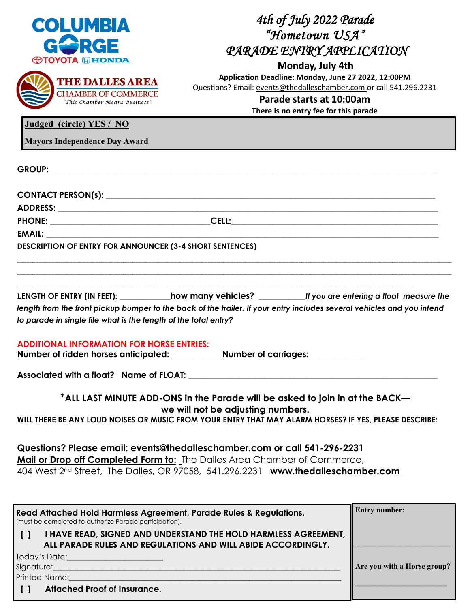|                                                                                                                                                       | 4th of July 2022 Parade<br>"Hometown USA"                                                                                       |                      |  |  |  |
|-------------------------------------------------------------------------------------------------------------------------------------------------------|---------------------------------------------------------------------------------------------------------------------------------|----------------------|--|--|--|
| <b>COLUMBIA</b>                                                                                                                                       |                                                                                                                                 |                      |  |  |  |
| RGE                                                                                                                                                   | PARADE ENTRY APPLICATION                                                                                                        |                      |  |  |  |
| <b><b>OTOYOTA HEONDA</b></b>                                                                                                                          | Monday, July 4th                                                                                                                |                      |  |  |  |
| <b>THE DALLES AREA</b>                                                                                                                                | Application Deadline: Monday, June 27 2022, 12:00PM<br>Questions? Email: events@thedalleschamber.com or call 541.296.2231       |                      |  |  |  |
| <b>CHAMBER OF COMMERCE</b><br>"This Chamber Means Business"                                                                                           | Parade starts at 10:00am                                                                                                        |                      |  |  |  |
|                                                                                                                                                       | There is no entry fee for this parade                                                                                           |                      |  |  |  |
| Judged (circle) YES / NO                                                                                                                              |                                                                                                                                 |                      |  |  |  |
| <b>Mayors Independence Day Award</b>                                                                                                                  |                                                                                                                                 |                      |  |  |  |
|                                                                                                                                                       |                                                                                                                                 |                      |  |  |  |
|                                                                                                                                                       |                                                                                                                                 |                      |  |  |  |
|                                                                                                                                                       |                                                                                                                                 |                      |  |  |  |
|                                                                                                                                                       |                                                                                                                                 |                      |  |  |  |
| EMAIL: EMAIL:                                                                                                                                         |                                                                                                                                 |                      |  |  |  |
| <b>DESCRIPTION OF ENTRY FOR ANNOUNCER (3-4 SHORT SENTENCES)</b>                                                                                       |                                                                                                                                 |                      |  |  |  |
| LENGTH OF ENTRY (IN FEET): how many vehicles? _______f you are entering a float measure the                                                           |                                                                                                                                 |                      |  |  |  |
| length from the front pickup bumper to the back of the trailer. If your entry includes several vehicles and you intend                                |                                                                                                                                 |                      |  |  |  |
| to parade in single file what is the length of the total entry?                                                                                       |                                                                                                                                 |                      |  |  |  |
| <b>ADDITIONAL INFORMATION FOR HORSE ENTRIES:</b>                                                                                                      |                                                                                                                                 |                      |  |  |  |
| Associated with a float? Name of FLOAT: Name of $\blacksquare$                                                                                        |                                                                                                                                 |                      |  |  |  |
|                                                                                                                                                       | *ALL LAST MINUTE ADD-ONS in the Parade will be asked to join in at the BACK—                                                    |                      |  |  |  |
| we will not be adjusting numbers.<br>WILL THERE BE ANY LOUD NOISES OR MUSIC FROM YOUR ENTRY THAT MAY ALARM HORSES? IF YES, PLEASE DESCRIBE:           |                                                                                                                                 |                      |  |  |  |
| Questions? Please email: events@thedalleschamber.com or call 541-296-2231<br>Mail or Drop off Completed Form to: The Dalles Area Chamber of Commerce, |                                                                                                                                 |                      |  |  |  |
| 404 West 2nd Street, The Dalles, OR 97058, 541.296.2231 www.thedalleschamber.com                                                                      |                                                                                                                                 |                      |  |  |  |
|                                                                                                                                                       |                                                                                                                                 |                      |  |  |  |
| Read Attached Hold Harmless Agreement, Parade Rules & Regulations.<br>(must be completed to authorize Parade participation).                          |                                                                                                                                 | <b>Entry number:</b> |  |  |  |
| $\Box$                                                                                                                                                | I HAVE READ, SIGNED AND UNDERSTAND THE HOLD HARMLESS AGREEMENT,<br>ALL PARADE RULES AND REGULATIONS AND WILL ABIDE ACCORDINGLY. |                      |  |  |  |
|                                                                                                                                                       |                                                                                                                                 |                      |  |  |  |

**Are you with a Horse group?**

| Signature: |  |  |
|------------|--|--|
|            |  |  |

Printed Name:

 **[ ] Attached Proof of Insurance.**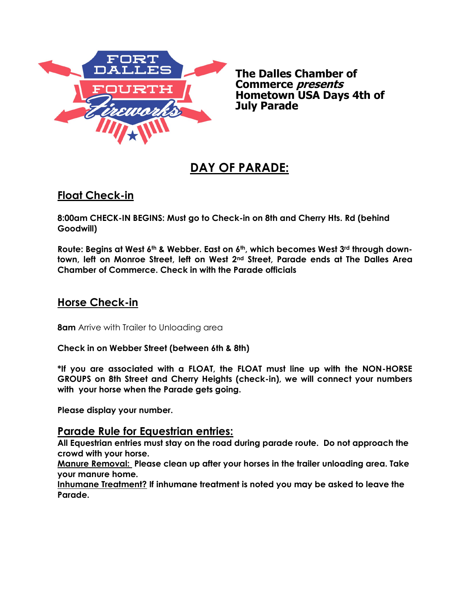

**The Dalles Chamber of Commerce presents Hometown USA Days 4th of July Parade** 

# **DAY OF PARADE:**

## **Float Check-in**

**8:00am CHECK-IN BEGINS: Must go to Check-in on 8th and Cherry Hts. Rd (behind Goodwill)**

**Route: Begins at West 6th & Webber. East on 6th, which becomes West 3rd through downtown, left on Monroe Street, left on West 2nd Street, Parade ends at The Dalles Area Chamber of Commerce. Check in with the Parade officials**

### **Horse Check-in**

**8am** Arrive with Trailer to Unloading area

**Check in on Webber Street (between 6th & 8th)**

**\*If you are associated with a FLOAT, the FLOAT must line up with the NON-HORSE GROUPS on 8th Street and Cherry Heights (check-in), we will connect your numbers with your horse when the Parade gets going.** 

**Please display your number.**

#### **Parade Rule for Equestrian entries:**

**All Equestrian entries must stay on the road during parade route. Do not approach the crowd with your horse.** 

**Manure Removal: Please clean up after your horses in the trailer unloading area. Take your manure home.** 

**Inhumane Treatment? If inhumane treatment is noted you may be asked to leave the Parade.**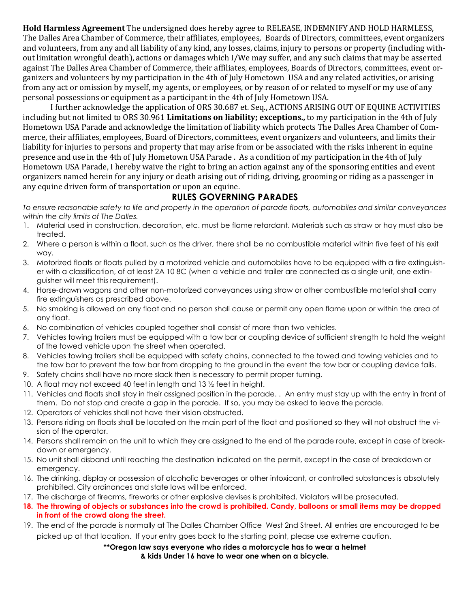**Hold Harmless Agreement** The undersigned does hereby agree to RELEASE, INDEMNIFY AND HOLD HARMLESS, The Dalles Area Chamber of Commerce, their affiliates, employees, Boards of Directors, committees, event organizers and volunteers, from any and all liability of any kind, any losses, claims, injury to persons or property (including without limitation wrongful death), actions or damages which I/We may suffer, and any such claims that may be asserted against The Dalles Area Chamber of Commerce, their affiliates, employees, Boards of Directors, committees, event organizers and volunteers by my participation in the 4th of July Hometown USA and any related activities, or arising from any act or omission by myself, my agents, or employees, or by reason of or related to myself or my use of any personal possessions or equipment as a participant in the 4th of July Hometown USA.

I further acknowledge the application of ORS 30.687 et. Seq., ACTIONS ARISING OUT OF EQUINE ACTIVITIES including but not limited to ORS 30.961 **Limitations on liability; exceptions.,** to my participation in the 4th of July Hometown USA Parade and acknowledge the limitation of liability which protects The Dalles Area Chamber of Commerce, their affiliates, employees, Board of Directors, committees, event organizers and volunteers, and limits their liability for injuries to persons and property that may arise from or be associated with the risks inherent in equine presence and use in the 4th of July Hometown USA Parade . As a condition of my participation in the 4th of July Hometown USA Parade, I hereby waive the right to bring an action against any of the sponsoring entities and event organizers named herein for any injury or death arising out of riding, driving, grooming or riding as a passenger in any equine driven form of transportation or upon an equine.

#### **RULES GOVERNING PARADES**

*To ensure reasonable safety to life and property in the operation of parade floats, automobiles and similar conveyances within the city limits of The Dalles.*

- 1. Material used in construction, decoration, etc. must be flame retardant. Materials such as straw or hay must also be treated.
- 2. Where a person is within a float, such as the driver, there shall be no combustible material within five feet of his exit way.
- 3. Motorized floats or floats pulled by a motorized vehicle and automobiles have to be equipped with a fire extinguisher with a classification, of at least 2A 10 8C (when a vehicle and trailer are connected as a single unit, one extinguisher will meet this requirement).
- 4. Horse-drawn wagons and other non-motorized conveyances using straw or other combustible material shall carry fire extinguishers as prescribed above.
- 5. No smoking is allowed on any float and no person shall cause or permit any open flame upon or within the area of any float.
- 6. No combination of vehicles coupled together shall consist of more than two vehicles.
- 7. Vehicles towing trailers must be equipped with a tow bar or coupling device of sufficient strength to hold the weight of the towed vehicle upon the street when operated.
- 8. Vehicles towing trailers shall be equipped with safety chains, connected to the towed and towing vehicles and to the tow bar to prevent the tow bar from dropping to the ground in the event the tow bar or coupling device fails.
- 9. Safety chains shall have no more slack then is necessary to permit proper turning.
- 10. A float may not exceed 40 feet in length and 13 ½ feet in height.
- 11. Vehicles and floats shall stay in their assigned position in the parade. . An entry must stay up with the entry in front of them. Do not stop and create a gap in the parade. If so, you may be asked to leave the parade.
- 12. Operators of vehicles shall not have their vision obstructed.
- 13. Persons riding on floats shall be located on the main part of the float and positioned so they will not obstruct the vision of the operator.
- 14. Persons shall remain on the unit to which they are assigned to the end of the parade route, except in case of breakdown or emergency.
- 15. No unit shall disband until reaching the destination indicated on the permit, except in the case of breakdown or emergency.
- 16. The drinking, display or possession of alcoholic beverages or other intoxicant, or controlled substances is absolutely prohibited. City ordinances and state laws will be enforced.
- 17. The discharge of firearms, fireworks or other explosive devises is prohibited. Violators will be prosecuted.
- **18. The throwing of objects or substances into the crowd is prohibited. Candy, balloons or small items may be dropped in front of the crowd along the street.**
- 19. The end of the parade is normally at The Dalles Chamber Office West 2nd Street. All entries are encouraged to be picked up at that location. If your entry goes back to the starting point, please use extreme caution.

**\*\*Oregon law says everyone who rides a motorcycle has to wear a helmet & kids Under 16 have to wear one when on a bicycle.**